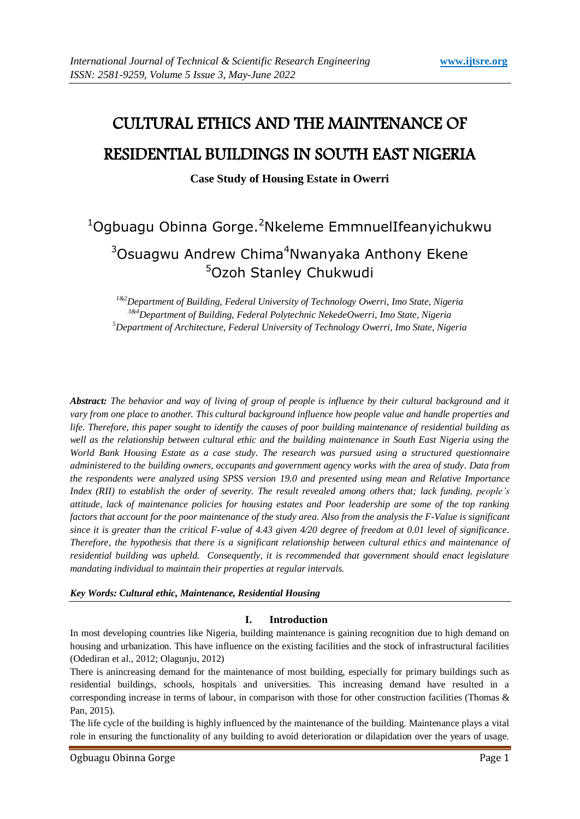# CULTURAL ETHICS AND THE MAINTENANCE OF RESIDENTIAL BUILDINGS IN SOUTH EAST NIGERIA

**Case Study of Housing Estate in Owerri**

# $1$ Ogbuagu Obinna Gorge.<sup>2</sup>Nkeleme EmmnuelIfeanyichukwu <sup>3</sup>Osuagwu Andrew Chima<sup>4</sup>Nwanyaka Anthony Ekene <sup>5</sup>Ozoh Stanley Chukwudi

*1&2Department of Building, Federal University of Technology Owerri, Imo State, Nigeria 3&4Department of Building, Federal Polytechnic NekedeOwerri, Imo State, Nigeria <sup>5</sup>Department of Architecture, Federal University of Technology Owerri, Imo State, Nigeria*

*Abstract: The behavior and way of living of group of people is influence by their cultural background and it vary from one place to another. This cultural background influence how people value and handle properties and life. Therefore, this paper sought to identify the causes of poor building maintenance of residential building as well as the relationship between cultural ethic and the building maintenance in South East Nigeria using the World Bank Housing Estate as a case study. The research was pursued using a structured questionnaire administered to the building owners, occupants and government agency works with the area of study. Data from the respondents were analyzed using SPSS version 19.0 and presented using mean and Relative Importance Index (RII) to establish the order of severity. The result revealed among others that; lack funding, people's attitude, lack of maintenance policies for housing estates and Poor leadership are some of the top ranking factors that account for the poor maintenance of the study area. Also from the analysis the F-Value is significant since it is greater than the critical F-value of 4.43 given 4/20 degree of freedom at 0.01 level of significance. Therefore, the hypothesis that there is a significant relationship between cultural ethics and maintenance of residential building was upheld. Consequently, it is recommended that government should enact legislature mandating individual to maintain their properties at regular intervals.*

#### *Key Words: Cultural ethic, Maintenance, Residential Housing*

#### **I. Introduction**

In most developing countries like Nigeria, building maintenance is gaining recognition due to high demand on housing and urbanization. This have influence on the existing facilities and the stock of infrastructural facilities (Odediran et al., 2012; Olagunju, 2012)

There is anincreasing demand for the maintenance of most building, especially for primary buildings such as residential buildings, schools, hospitals and universities. This increasing demand have resulted in a corresponding increase in terms of labour, in comparison with those for other construction facilities (Thomas & Pan, 2015).

The life cycle of the building is highly influenced by the maintenance of the building. Maintenance plays a vital role in ensuring the functionality of any building to avoid deterioration or dilapidation over the years of usage.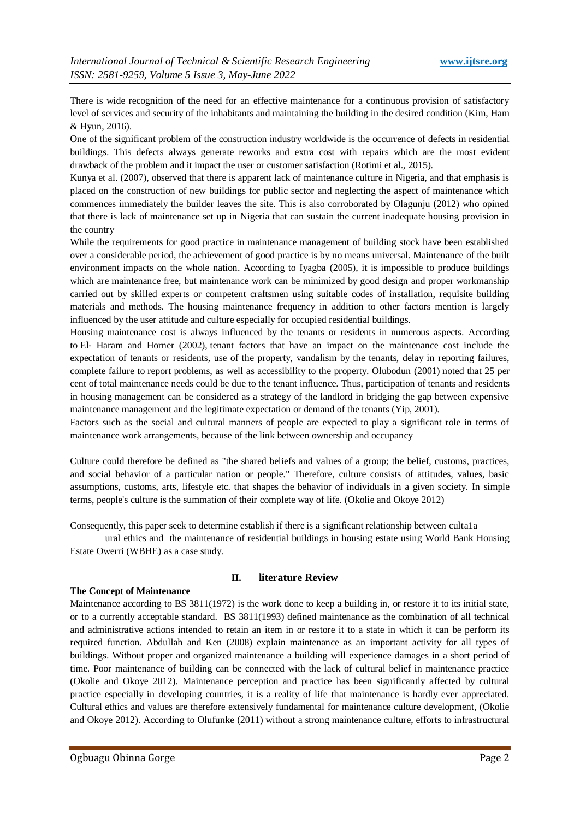There is wide recognition of the need for an effective maintenance for a continuous provision of satisfactory level of services and security of the inhabitants and maintaining the building in the desired condition (Kim, Ham & Hyun, 2016).

One of the significant problem of the construction industry worldwide is the occurrence of defects in residential buildings. This defects always generate reworks and extra cost with repairs which are the most evident drawback of the problem and it impact the user or customer satisfaction (Rotimi et al., 2015).

Kunya et al. (2007), observed that there is apparent lack of maintenance culture in Nigeria, and that emphasis is placed on the construction of new buildings for public sector and neglecting the aspect of maintenance which commences immediately the builder leaves the site. This is also corroborated by Olagunju (2012) who opined that there is lack of maintenance set up in Nigeria that can sustain the current inadequate housing provision in the country

While the requirements for good practice in maintenance management of building stock have been established over a considerable period, the achievement of good practice is by no means universal. Maintenance of the built environment impacts on the whole nation. According to Iyagba (2005), it is impossible to produce buildings which are maintenance free, but maintenance work can be minimized by good design and proper workmanship carried out by skilled experts or competent craftsmen using suitable codes of installation, requisite building materials and methods. The housing maintenance frequency in addition to other factors mention is largely influenced by the user attitude and culture especially for occupied residential buildings.

Housing maintenance cost is always influenced by the tenants or residents in numerous aspects. According to El‐ Haram and Horner (2002), tenant factors that have an impact on the maintenance cost include the expectation of tenants or residents, use of the property, vandalism by the tenants, delay in reporting failures, complete failure to report problems, as well as accessibility to the property. Olubodun (2001) noted that 25 per cent of total maintenance needs could be due to the tenant influence. Thus, participation of tenants and residents in housing management can be considered as a strategy of the landlord in bridging the gap between expensive maintenance management and the legitimate expectation or demand of the tenants (Yip, 2001).

Factors such as the social and cultural manners of people are expected to play a significant role in terms of maintenance work arrangements, because of the link between ownership and occupancy

Culture could therefore be defined as "the shared beliefs and values of a group; the belief, customs, practices, and social behavior of a particular nation or people." Therefore, culture consists of attitudes, values, basic assumptions, customs, arts, lifestyle etc. that shapes the behavior of individuals in a given society. In simple terms, people's culture is the summation of their complete way of life. (Okolie and Okoye 2012)

Consequently, this paper seek to determine establish if there is a significant relationship between culta1a

ural ethics and the maintenance of residential buildings in housing estate using World Bank Housing Estate Owerri (WBHE) as a case study.

#### **II. literature Review**

#### **The Concept of Maintenance**

Maintenance according to BS 3811(1972) is the work done to keep a building in, or restore it to its initial state, or to a currently acceptable standard. BS 3811(1993) defined maintenance as the combination of all technical and administrative actions intended to retain an item in or restore it to a state in which it can be perform its required function. Abdullah and Ken (2008) explain maintenance as an important activity for all types of buildings. Without proper and organized maintenance a building will experience damages in a short period of time. Poor maintenance of building can be connected with the lack of cultural belief in maintenance practice (Okolie and Okoye 2012). Maintenance perception and practice has been significantly affected by cultural practice especially in developing countries, it is a reality of life that maintenance is hardly ever appreciated. Cultural ethics and values are therefore extensively fundamental for maintenance culture development, (Okolie and Okoye 2012). According to Olufunke (2011) without a strong maintenance culture, efforts to infrastructural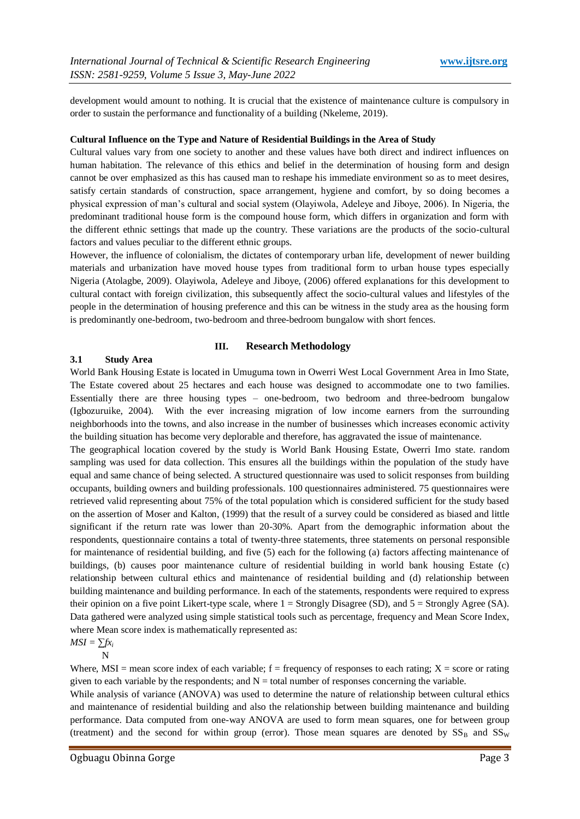development would amount to nothing. It is crucial that the existence of maintenance culture is compulsory in order to sustain the performance and functionality of a building (Nkeleme, 2019).

#### **Cultural Influence on the Type and Nature of Residential Buildings in the Area of Study**

Cultural values vary from one society to another and these values have both direct and indirect influences on human habitation. The relevance of this ethics and belief in the determination of housing form and design cannot be over emphasized as this has caused man to reshape his immediate environment so as to meet desires, satisfy certain standards of construction, space arrangement, hygiene and comfort, by so doing becomes a physical expression of man's cultural and social system (Olayiwola, Adeleye and Jiboye, 2006). In Nigeria, the predominant traditional house form is the compound house form, which differs in organization and form with the different ethnic settings that made up the country. These variations are the products of the socio-cultural factors and values peculiar to the different ethnic groups.

However, the influence of colonialism, the dictates of contemporary urban life, development of newer building materials and urbanization have moved house types from traditional form to urban house types especially Nigeria (Atolagbe, 2009). Olayiwola, Adeleye and Jiboye, (2006) offered explanations for this development to cultural contact with foreign civilization, this subsequently affect the socio-cultural values and lifestyles of the people in the determination of housing preference and this can be witness in the study area as the housing form is predominantly one-bedroom, two-bedroom and three-bedroom bungalow with short fences.

#### **III. Research Methodology**

#### **3.1 Study Area**

World Bank Housing Estate is located in Umuguma town in Owerri West Local Government Area in Imo State, The Estate covered about 25 hectares and each house was designed to accommodate one to two families. Essentially there are three housing types – one-bedroom, two bedroom and three-bedroom bungalow (Igbozuruike, 2004). With the ever increasing migration of low income earners from the surrounding neighborhoods into the towns, and also increase in the number of businesses which increases economic activity the building situation has become very deplorable and therefore, has aggravated the issue of maintenance.

The geographical location covered by the study is World Bank Housing Estate, Owerri Imo state. random sampling was used for data collection. This ensures all the buildings within the population of the study have equal and same chance of being selected. A structured questionnaire was used to solicit responses from building occupants, building owners and building professionals. 100 questionnaires administered. 75 questionnaires were retrieved valid representing about 75% of the total population which is considered sufficient for the study based on the assertion of Moser and Kalton, (1999) that the result of a survey could be considered as biased and little significant if the return rate was lower than 20-30%. Apart from the demographic information about the respondents, questionnaire contains a total of twenty-three statements, three statements on personal responsible for maintenance of residential building, and five (5) each for the following (a) factors affecting maintenance of buildings, (b) causes poor maintenance culture of residential building in world bank housing Estate (c) relationship between cultural ethics and maintenance of residential building and (d) relationship between building maintenance and building performance. In each of the statements, respondents were required to express their opinion on a five point Likert-type scale, where  $1 =$  Strongly Disagree (SD), and  $5 =$  Strongly Agree (SA). Data gathered were analyzed using simple statistical tools such as percentage, frequency and Mean Score Index, where Mean score index is mathematically represented as:

$$
MSI = \sum_{N} f x_i
$$

Where,  $MSI$  = mean score index of each variable; f = frequency of responses to each rating;  $X$  = score or rating given to each variable by the respondents; and  $N =$  total number of responses concerning the variable.

While analysis of variance (ANOVA) was used to determine the nature of relationship between cultural ethics and maintenance of residential building and also the relationship between building maintenance and building performance. Data computed from one-way ANOVA are used to form mean squares, one for between group (treatment) and the second for within group (error). Those mean squares are denoted by  $SS_B$  and  $SS_W$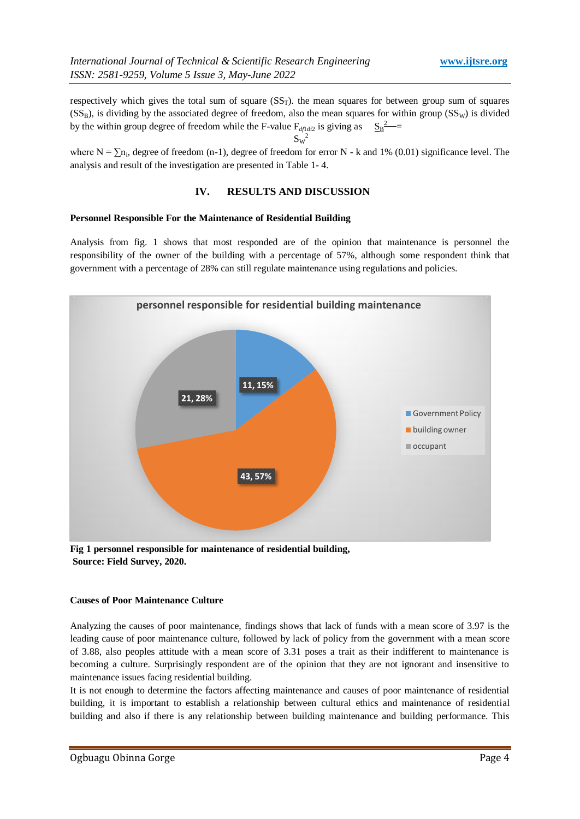respectively which gives the total sum of square  $(SST)$ . the mean squares for between group sum of squares  $(SS_B)$ , is dividing by the associated degree of freedom, also the mean squares for within group  $(SS_W)$  is divided by the within group degree of freedom while the F-value  $F_{df1df2}$  is giving as  $S_B^2$  =  $\mathbf{S}_{\mathrm{W}}$ 

2

where  $N = \sum n_i$ , degree of freedom (n-1), degree of freedom for error N - k and 1% (0.01) significance level. The analysis and result of the investigation are presented in Table 1- 4.

#### **IV. RESULTS AND DISCUSSION**

#### **Personnel Responsible For the Maintenance of Residential Building**

Analysis from fig. 1 shows that most responded are of the opinion that maintenance is personnel the responsibility of the owner of the building with a percentage of 57%, although some respondent think that government with a percentage of 28% can still regulate maintenance using regulations and policies.



**Fig 1 personnel responsible for maintenance of residential building, Source: Field Survey, 2020.**

#### **Causes of Poor Maintenance Culture**

Analyzing the causes of poor maintenance, findings shows that lack of funds with a mean score of 3.97 is the leading cause of poor maintenance culture, followed by lack of policy from the government with a mean score of 3.88, also peoples attitude with a mean score of 3.31 poses a trait as their indifferent to maintenance is becoming a culture. Surprisingly respondent are of the opinion that they are not ignorant and insensitive to maintenance issues facing residential building.

It is not enough to determine the factors affecting maintenance and causes of poor maintenance of residential building, it is important to establish a relationship between cultural ethics and maintenance of residential building and also if there is any relationship between building maintenance and building performance. This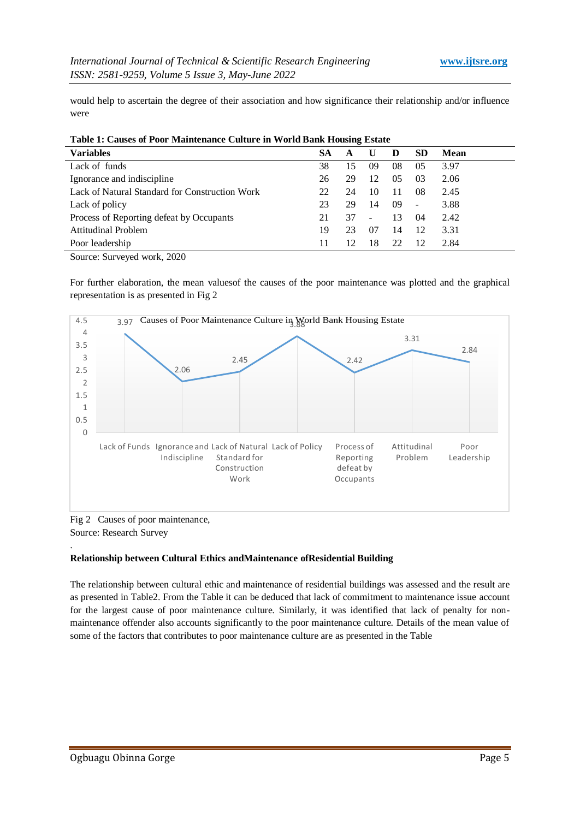would help to ascertain the degree of their association and how significance their relationship and/or influence were

|                                                |    | o  |                          |    |                          |             |
|------------------------------------------------|----|----|--------------------------|----|--------------------------|-------------|
| <b>Variables</b>                               | SА | A  |                          | Ð  | <b>SD</b>                | <b>Mean</b> |
| Lack of funds                                  | 38 | 15 | 09                       | 08 | 0 <sub>5</sub>           | 3.97        |
| Ignorance and indiscipline                     | 26 | 29 | 12                       | 05 | 03                       | 2.06        |
| Lack of Natural Standard for Construction Work | 22 | 24 | 10                       |    | 08                       | 2.45        |
| Lack of policy                                 | 23 | 29 | 14                       | 09 | $\overline{\phantom{a}}$ | 3.88        |
| Process of Reporting defeat by Occupants       | 21 | 37 | $\overline{\phantom{a}}$ | 13 | 04                       | 2.42        |
| Attitudinal Problem                            | 19 | 23 | 07                       | 14 | 12                       | 3.31        |
| Poor leadership                                | 11 | 12 | 18                       | フフ | 12                       | 2.84        |
|                                                |    |    |                          |    |                          |             |

|  | Table 1: Causes of Poor Maintenance Culture in World Bank Housing Estate |  |
|--|--------------------------------------------------------------------------|--|
|--|--------------------------------------------------------------------------|--|

Source: Surveyed work, 2020

For further elaboration, the mean valuesof the causes of the poor maintenance was plotted and the graphical representation is as presented in Fig 2



Fig 2 Causes of poor maintenance, Source: Research Survey

.

### **Relationship between Cultural Ethics andMaintenance ofResidential Building**

The relationship between cultural ethic and maintenance of residential buildings was assessed and the result are as presented in Table2. From the Table it can be deduced that lack of commitment to maintenance issue account for the largest cause of poor maintenance culture. Similarly, it was identified that lack of penalty for nonmaintenance offender also accounts significantly to the poor maintenance culture. Details of the mean value of some of the factors that contributes to poor maintenance culture are as presented in the Table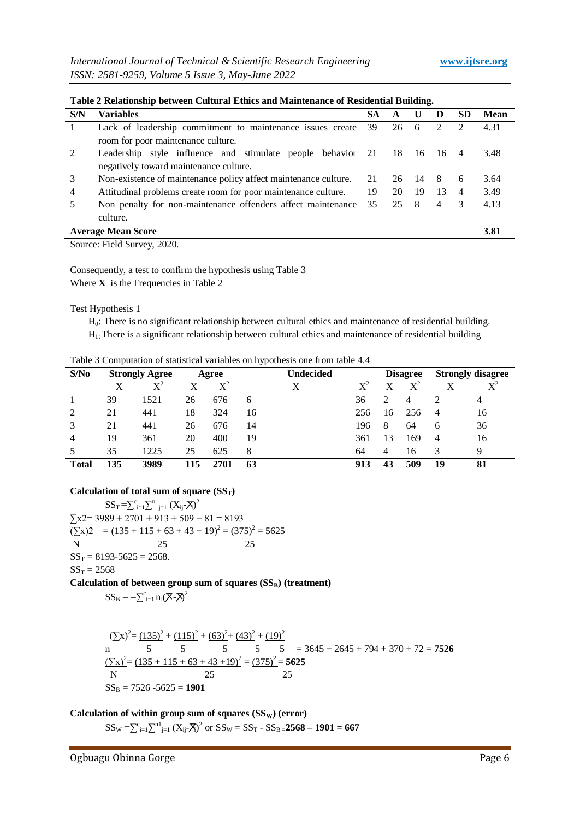| S/N                       | <b>Variables</b>                                                                                      | SA. | A  | U     | D                           | <b>SD</b>      | Mean |  |
|---------------------------|-------------------------------------------------------------------------------------------------------|-----|----|-------|-----------------------------|----------------|------|--|
|                           | Lack of leadership commitment to maintenance issues create<br>room for poor maintenance culture.      | 39  | 26 | -6    | $\mathcal{D}_{\mathcal{L}}$ | $\mathcal{D}$  | 4.31 |  |
| 2                         | Leadership style influence and stimulate people behavior 21<br>negatively toward maintenance culture. |     |    | 18 16 | - 16                        | 4              | 3.48 |  |
| 3                         | Non-existence of maintenance policy affect maintenance culture.                                       | 21  | 26 | - 14  | - 8                         | 6              | 3.64 |  |
| 4                         | Attitudinal problems create room for poor maintenance culture.                                        | 19  | 20 | -19   | 13                          | $\overline{4}$ | 3.49 |  |
| 5                         | Non penalty for non-maintenance offenders affect maintenance<br>culture.                              | 35  | 25 | -8    | 4                           | 3              | 4.13 |  |
| <b>Average Mean Score</b> |                                                                                                       |     |    |       |                             |                | 3.81 |  |

Source: Field Survey, 2020.

Consequently, a test to confirm the hypothesis using Table 3 Where  $X$  is the Frequencies in Table 2

Test Hypothesis 1

H0: There is no significant relationship between cultural ethics and maintenance of residential building.

H1: There is a significant relationship between cultural ethics and maintenance of residential building

| Table 3 Computation of statistical variables on hypothesis one from table 4.4 |  |  |
|-------------------------------------------------------------------------------|--|--|
|                                                                               |  |  |

| S/No         |     | <b>Strongly Agree</b> |     | Agree |    | <b>Undecided</b> |     |    | <b>Disagree</b> |                | <b>Strongly disagree</b> |
|--------------|-----|-----------------------|-----|-------|----|------------------|-----|----|-----------------|----------------|--------------------------|
|              | X   | $X^2$                 | X   | $X^2$ |    | X                |     | X  | $\mathrm{X}^2$  |                |                          |
|              | 39  | 1521                  | 26  | 676   | 6  |                  | 36  |    | 4               | 2              | 4                        |
| 2            | 21  | 441                   | 18  | 324   | 16 |                  | 256 | 16 | 256             | 4              | 16                       |
|              | 21  | 441                   | 26  | 676   | 14 |                  | 196 | 8  | 64              | 6              | 36                       |
| 4            | 19  | 361                   | 20  | 400   | 19 |                  | 361 | 13 | 169             | $\overline{4}$ | 16                       |
|              | 35  | 1225                  | 25  | 625   | 8  |                  | 64  | 4  | 16              | 3              | 9                        |
| <b>Total</b> | 135 | 3989                  | 115 | 2701  | 63 |                  | 913 | 43 | 509             | 19             | 81                       |

## Calculation of total sum of square  $(SS_T)$

 $SS_T = \sum_{i=1}^{c} \sum_{j=1}^{n} (X_{ij} - \overline{X})^2$  $\sum x^2 = 3989 + 2701 + 913 + 509 + 81 = 8193$  $(\sum x)$ 2 =  $(135 + 115 + 63 + 43 + 19)^2$  =  $(375)^2$  = 5625 N 25 25  $SS_T = 8193 - 5625 = 2568.$  $SS_T = 2568$ **Calculation of between group sum of squares (SSB) (treatment)**

$$
SS_B = \sum_{i=1}^{c} n_i (\mathbf{X} - \mathbf{X})^2
$$

$$
(\sum x)^2 = (135)^2 + (115)^2 + (63)^2 + (43)^2 + (19)^2
$$
  
\nn 5 5 5 5 5 5 = 3645 + 2645 + 794 + 370 + 72 = **7526**  
\n
$$
(\sum x)^2 = (135 + 115 + 63 + 43 + 19)^2 = (375)^2 = 5625
$$
  
\nN 25 25  
\n
$$
SS_B = 7526 - 5625 = 1901
$$

# Calculation of within group sum of squares (SS<sub>W</sub>) (error)

 $SS_W = \sum_{i=1}^{c} \sum_{j=1}^{n} (X_{ij} - \overline{X})^2$  or  $SS_W = SS_T - SS_B = 2568 - 1901 = 667$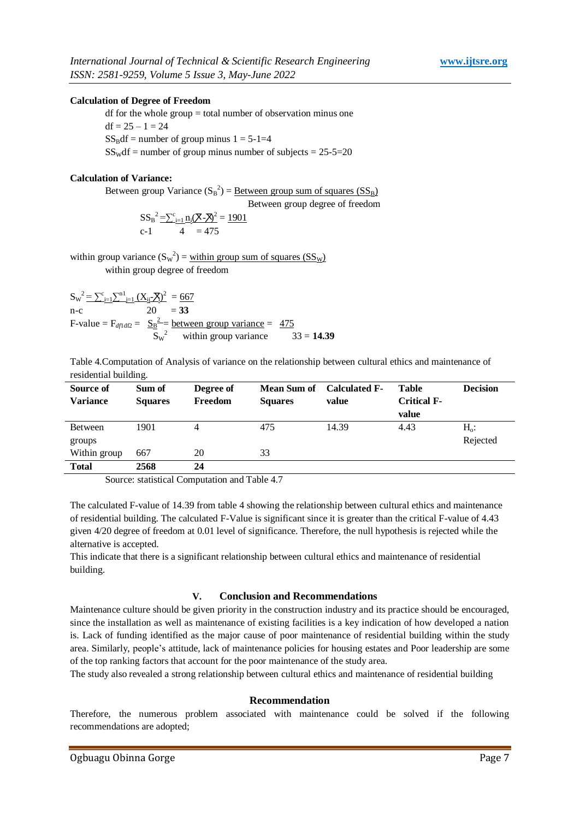#### **Calculation of Degree of Freedom**

 $df$  for the whole group  $=$  total number of observation minus one  $df = 25 - 1 = 24$  $SS_Bdf =$  number of group minus  $1 = 5-1=4$  $SS_wdf =$  number of group minus number of subjects = 25-5=20

#### **Calculation of Variance:**

Between group Variance  $(S_B^2)$  = Between group sum of squares  $(S_{B_2})$ 

Between group degree of freedom

$$
SS_B^2 = \sum_{i=1}^{c} \frac{n_i (X - \overline{X})^2}{4} = \frac{1901}{201}
$$
  
c-1 4 = 475

within group variance  $(S_w^2) = \underline{\text{within group sum of squares } (SS_w)}$ within group degree of freedom

 $S_w^2 = \sum_{i=1}^c \sum_{j=1}^{n} (X_{ij} - \overline{X})^2 = 667$  $n-c$  20 = 33 F-value =  $F_{df1df2} = \frac{S_B^2}{\frac{1}{2}}$  between group variance = 475  $S_w^2$  within group variance  $33 = 14.39$ 

Table 4.Computation of Analysis of variance on the relationship between cultural ethics and maintenance of residential building.

| Source of       | Sum of         | Degree of | <b>Mean Sum of</b> | <b>Calculated F-</b> | <b>Table</b>       | <b>Decision</b> |
|-----------------|----------------|-----------|--------------------|----------------------|--------------------|-----------------|
| <b>Variance</b> | <b>Squares</b> | Freedom   | <b>Squares</b>     | value                | <b>Critical F-</b> |                 |
|                 |                |           |                    |                      | value              |                 |
| <b>Between</b>  | 1901           | 4         | 475                | 14.39                | 4.43               | $H_{o}:$        |
| groups          |                |           |                    |                      |                    | Rejected        |
| Within group    | 667            | 20        | 33                 |                      |                    |                 |
| <b>Total</b>    | 2568           | 24        |                    |                      |                    |                 |
|                 |                |           |                    |                      |                    |                 |

Source: statistical Computation and Table 4.7

The calculated F-value of 14.39 from table 4 showing the relationship between cultural ethics and maintenance of residential building. The calculated F-Value is significant since it is greater than the critical F-value of 4.43 given 4/20 degree of freedom at 0.01 level of significance. Therefore, the null hypothesis is rejected while the alternative is accepted.

This indicate that there is a significant relationship between cultural ethics and maintenance of residential building.

#### **V. Conclusion and Recommendations**

Maintenance culture should be given priority in the construction industry and its practice should be encouraged, since the installation as well as maintenance of existing facilities is a key indication of how developed a nation is. Lack of funding identified as the major cause of poor maintenance of residential building within the study area. Similarly, people's attitude, lack of maintenance policies for housing estates and Poor leadership are some of the top ranking factors that account for the poor maintenance of the study area.

The study also revealed a strong relationship between cultural ethics and maintenance of residential building

#### **Recommendation**

Therefore, the numerous problem associated with maintenance could be solved if the following recommendations are adopted;